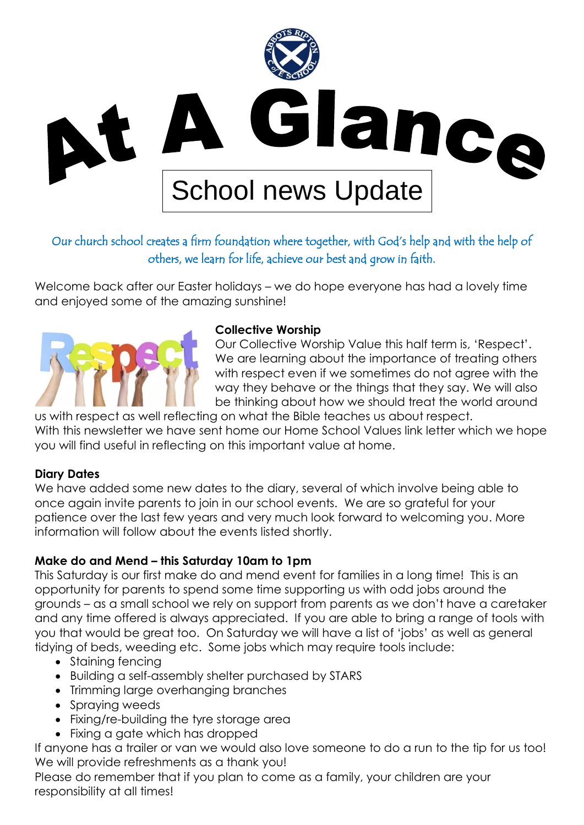

# Our church school creates a firm foundation where together, with God's help and with the help of others, we learn for life, achieve our best and grow in faith.

Welcome back after our Easter holidays – we do hope everyone has had a lovely time and enjoyed some of the amazing sunshine!



#### **Collective Worship**

Our Collective Worship Value this half term is, 'Respect'. We are learning about the importance of treating others with respect even if we sometimes do not agree with the way they behave or the things that they say. We will also be thinking about how we should treat the world around

us with respect as well reflecting on what the Bible teaches us about respect. With this newsletter we have sent home our Home School Values link letter which we hope you will find useful in reflecting on this important value at home.

#### **Diary Dates**

We have added some new dates to the diary, several of which involve being able to once again invite parents to join in our school events. We are so grateful for your patience over the last few years and very much look forward to welcoming you. More information will follow about the events listed shortly.

## **Make do and Mend – this Saturday 10am to 1pm**

This Saturday is our first make do and mend event for families in a long time! This is an opportunity for parents to spend some time supporting us with odd jobs around the grounds – as a small school we rely on support from parents as we don't have a caretaker and any time offered is always appreciated. If you are able to bring a range of tools with you that would be great too. On Saturday we will have a list of 'jobs' as well as general tidying of beds, weeding etc. Some jobs which may require tools include:

- Staining fencing
- Building a self-assembly shelter purchased by STARS
- Trimming large overhanging branches
- Spraying weeds
- Fixing/re-building the tyre storage area
- Fixing a gate which has dropped

If anyone has a trailer or van we would also love someone to do a run to the tip for us too! We will provide refreshments as a thank you!

Please do remember that if you plan to come as a family, your children are your responsibility at all times!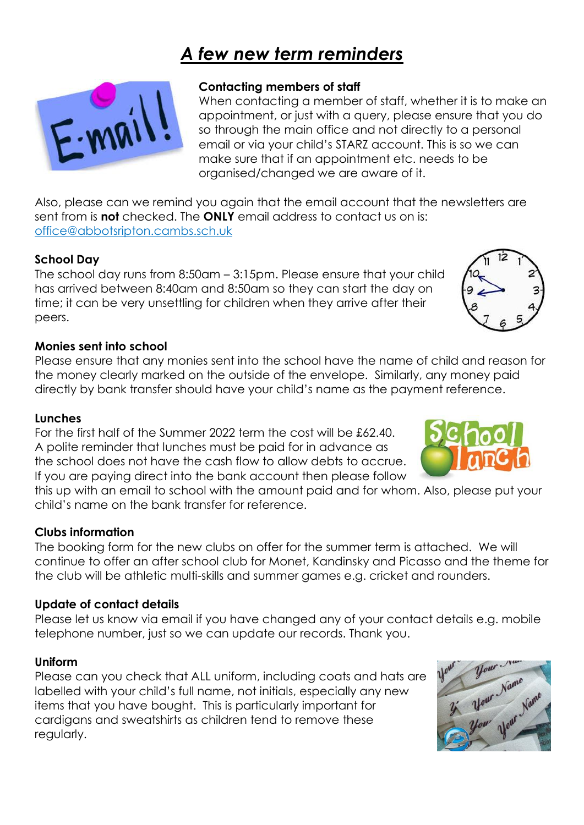# *A few new term reminders*



#### **Contacting members of staff**

When contacting a member of staff, whether it is to make an appointment, or just with a query, please ensure that you do so through the main office and not directly to a personal email or via your child's STARZ account. This is so we can make sure that if an appointment etc. needs to be organised/changed we are aware of it.

Also, please can we remind you again that the email account that the newsletters are sent from is **not** checked. The **ONLY** email address to contact us on is: [office@abbotsripton.cambs.sch.uk](mailto:office@abbotsripton.cambs.sch.uk)

#### **School Day**

The school day runs from 8:50am – 3:15pm. Please ensure that your child has arrived between 8:40am and 8:50am so they can start the day on time; it can be very unsettling for children when they arrive after their peers.

#### **Monies sent into school**

Please ensure that any monies sent into the school have the name of child and reason for the money clearly marked on the outside of the envelope. Similarly, any money paid directly by bank transfer should have your child's name as the payment reference.

#### **Lunches**

For the first half of the Summer 2022 term the cost will be £62.40. A polite reminder that lunches must be paid for in advance as the school does not have the cash flow to allow debts to accrue. If you are paying direct into the bank account then please follow

this up with an email to school with the amount paid and for whom. Also, please put your child's name on the bank transfer for reference.

#### **Clubs information**

The booking form for the new clubs on offer for the summer term is attached. We will continue to offer an after school club for Monet, Kandinsky and Picasso and the theme for the club will be athletic multi-skills and summer games e.g. cricket and rounders.

#### **Update of contact details**

Please let us know via email if you have changed any of your contact details e.g. mobile telephone number, just so we can update our records. Thank you.

#### **Uniform**

Please can you check that ALL uniform, including coats and hats are labelled with your child's full name, not initials, especially any new items that you have bought. This is particularly important for cardigans and sweatshirts as children tend to remove these regularly.